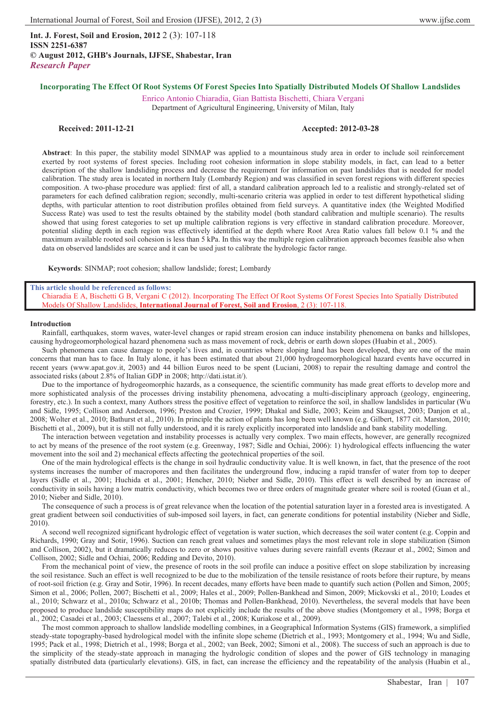**Int. J. Forest, Soil and Erosion, 2012** 2 (3): 107-118 **ISSN 2251-6387 © August 2012, GHB's Journals, IJFSE, Shabestar, Iran** *Research Paper*

# **Incorporating The Effect Of Root Systems Of Forest Species Into Spatially Distributed Models Of Shallow Landslides**

Enrico Antonio Chiaradia, Gian Battista Bischetti, Chiara Vergani Department of Agricultural Engineering, University of Milan, Italy

# **Received: 2011-12-21 Accepted: 2012-03-28**

**Abstract**: In this paper, the stability model SINMAP was applied to a mountainous study area in order to include soil reinforcement exerted by root systems of forest species. Including root cohesion information in slope stability models, in fact, can lead to a better description of the shallow landsliding process and decrease the requirement for information on past landslides that is needed for model calibration. The study area is located in northern Italy (Lombardy Region) and was classified in seven forest regions with different species composition. A two-phase procedure was applied: first of all, a standard calibration approach led to a realistic and strongly-related set of parameters for each defined calibration region; secondly, multi-scenario criteria was applied in order to test different hypothetical sliding depths, with particular attention to root distribution profiles obtained from field surveys. A quantitative index (the Weighted Modified Success Rate) was used to test the results obtained by the stability model (both standard calibration and multiple scenario). The results showed that using forest categories to set up multiple calibration regions is very effective in standard calibration procedure. Moreover, potential sliding depth in each region was effectively identified at the depth where Root Area Ratio values fall below 0.1 % and the maximum available rooted soil cohesion is less than 5 kPa. In this way the multiple region calibration approach becomes feasible also when data on observed landslides are scarce and it can be used just to calibrate the hydrologic factor range.

**Keywords**: SINMAP; root cohesion; shallow landslide; forest; Lombardy

## **This article should be referenced as follows:**

Chiaradia E A, Bischetti G B, Vergani C (2012). Incorporating The Effect Of Root Systems Of Forest Species Into Spatially Distributed Models Of Shallow Landslides, **International Journal of Forest, Soil and Erosion**, 2 (3): 107-118.

## **Introduction**

Rainfall, earthquakes, storm waves, water-level changes or rapid stream erosion can induce instability phenomena on banks and hillslopes, causing hydrogeomorphological hazard phenomena such as mass movement of rock, debris or earth down slopes (Huabin et al., 2005).

Such phenomena can cause damage to people's lives and, in countries where sloping land has been developed, they are one of the main concerns that man has to face. In Italy alone, it has been estimated that about 21,000 hydrogeomorphological hazard events have occurred in recent years (www.apat.gov.it, 2003) and 44 billion Euros need to be spent (Luciani, 2008) to repair the resulting damage and control the associated risks (about 2.8% of Italian GDP in 2008; http://dati.istat.it/).

Due to the importance of hydrogeomorphic hazards, as a consequence, the scientific community has made great efforts to develop more and more sophisticated analysis of the processes driving instability phenomena, advocating a multi-disciplinary approach (geology, engineering, forestry, etc.). In such a context, many Authors stress the positive effect of vegetation to reinforce the soil, in shallow landslides in particular (Wu and Sidle, 1995; Collison and Anderson, 1996; Preston and Crozier, 1999; Dhakal and Sidle, 2003; Keim and Skaugset, 2003; Danjon et al., 2008; Wolter et al., 2010; Bathurst et al., 2010). In principle the action of plants has long been well known (e.g. Gilbert, 1877 cit. Marston, 2010; Bischetti et al., 2009), but it is still not fully understood, and it is rarely explicitly incorporated into landslide and bank stability modelling.

The interaction between vegetation and instability processes is actually very complex. Two main effects, however, are generally recognized to act by means of the presence of the root system (e.g. Greenway, 1987; Sidle and Ochiai, 2006): 1) hydrological effects influencing the water movement into the soil and 2) mechanical effects affecting the geotechnical properties of the soil.

One of the main hydrological effects is the change in soil hydraulic conductivity value. It is well known, in fact, that the presence of the root systems increases the number of macropores and then facilitates the underground flow, inducing a rapid transfer of water from top to deeper layers (Sidle et al., 2001; Huchida et al., 2001; Hencher, 2010; Nieber and Sidle, 2010). This effect is well described by an increase of conductivity in soils having a low matrix conductivity, which becomes two or three orders of magnitude greater where soil is rooted (Guan et al., 2010; Nieber and Sidle, 2010).

The consequence of such a process is of great relevance when the location of the potential saturation layer in a forested area is investigated. A great gradient between soil conductivities of sub-imposed soil layers, in fact, can generate conditions for potential instability (Nieber and Sidle, 2010).

A second well recognized significant hydrologic effect of vegetation is water suction, which decreases the soil water content (e.g. Coppin and Richards, 1990; Gray and Sotir, 1996). Suction can reach great values and sometimes plays the most relevant role in slope stabilization (Simon and Collison, 2002), but it dramatically reduces to zero or shows positive values during severe rainfall events (Rezaur et al., 2002; Simon and Collison, 2002; Sidle and Ochiai, 2006; Redding and Devito, 2010).

From the mechanical point of view, the presence of roots in the soil profile can induce a positive effect on slope stabilization by increasing the soil resistance. Such an effect is well recognized to be due to the mobilization of the tensile resistance of roots before their rupture, by means of root-soil friction (e.g. Gray and Sotir, 1996). In recent decades, many efforts have been made to quantify such action (Pollen and Simon, 2005; Simon et al., 2006; Pollen, 2007; Bischetti et al., 2009; Hales et al., 2009; Pollen-Bankhead and Simon, 2009; Mickovski et al., 2010; Loades et al., 2010; Schwarz et al., 2010a; Schwarz et al., 2010b; Thomas and Pollen-Bankhead, 2010). Nevertheless, the several models that have been proposed to produce landslide susceptibility maps do not explicitly include the results of the above studies (Montgomery et al., 1998; Borga et al., 2002; Casadei et al., 2003; Claessens et al., 2007; Talebi et al., 2008; Kuriakose et al., 2009).

The most common approach to shallow landslide modelling combines, in a Geographical Information Systems (GIS) framework, a simplified steady-state topography-based hydrological model with the infinite slope scheme (Dietrich et al., 1993; Montgomery et al., 1994; Wu and Sidle, 1995; Pack et al., 1998; Dietrich et al., 1998; Borga et al., 2002; van Beek, 2002; Simoni et al., 2008). The success of such an approach is due to the simplicity of the steady-state approach in managing the hydrologic condition of slopes and the power of GIS technology in managing spatially distributed data (particularly elevations). GIS, in fact, can increase the efficiency and the repeatability of the analysis (Huabin et al.,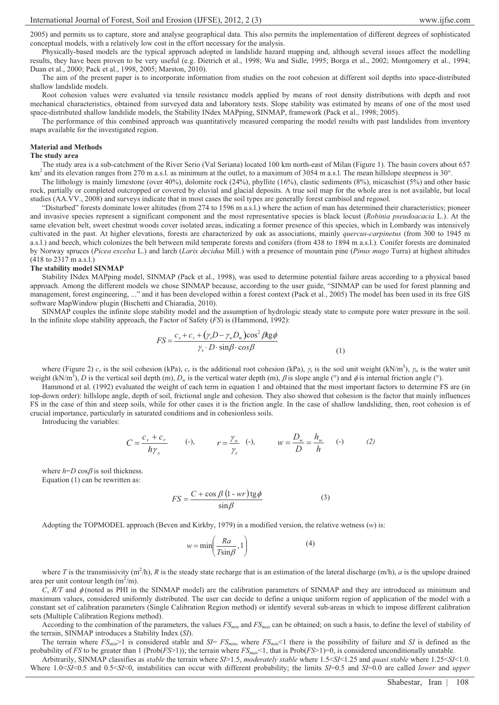2005) and permits us to capture, store and analyse geographical data. This also permits the implementation of different degrees of sophisticated conceptual models, with a relatively low cost in the effort necessary for the analysis.

Physically-based models are the typical approach adopted in landslide hazard mapping and, although several issues affect the modelling results, they have been proven to be very useful (e.g. Dietrich et al., 1998; Wu and Sidle, 1995; Borga et al., 2002; Montgomery et al., 1994; Duan et al., 2000; Pack et al., 1998, 2005; Marston, 2010).

The aim of the present paper is to incorporate information from studies on the root cohesion at different soil depths into space-distributed shallow landslide models.

Root cohesion values were evaluated via tensile resistance models applied by means of root density distributions with depth and root mechanical characteristics, obtained from surveyed data and laboratory tests. Slope stability was estimated by means of one of the most used space-distributed shallow landslide models, the Stability INdex MAPping, SINMAP, framework (Pack et al., 1998; 2005).

The performance of this combined approach was quantitatively measured comparing the model results with past landslides from inventory maps available for the investigated region.

#### **Material and Methods**

#### **The study area**

The study area is a sub-catchment of the River Serio (Val Seriana) located 100 km north-east of Milan (Figure 1). The basin covers about 657 km<sup>2</sup> and its elevation ranges from 270 m a.s.l. as minimum at the outlet, to a maximum of 3054 m a.s.l. The mean hillslope steepness is 30°.

The lithology is mainly limestone (over 40%), dolomite rock (24%), phyllite (16%), clastic sediments (8%), micaschist (5%) and other basic rock, partially or completed outcropped or covered by eluvial and glacial deposits. A true soil map for the whole area is not available, but local studies (AA.VV., 2008) and surveys indicate that in most cases the soil types are generally forest cambisol and regosol.

"Disturbed" forests dominate lower altitudes (from 274 to 1596 m a.s.l.) where the action of man has determined their characteristics; pioneer and invasive species represent a significant component and the most representative species is black locust (*Robinia pseudoacacia* L.). At the same elevation belt, sweet chestnut woods cover isolated areas, indicating a former presence of this species, which in Lombardy was intensively cultivated in the past. At higher elevations, forests are characterized by oak as associations, mainly *quercus-carpinetus* (from 300 to 1945 m a.s.l.) and beech, which colonizes the belt between mild temperate forests and conifers (from 438 to 1894 m a.s.l.). Conifer forests are dominated by Norway spruces (*Picea excelsa* L.) and larch (*Larix decidua* Mill.) with a presence of mountain pine (*Pinus mugo* Turra) at highest altitudes (418 to 2317 m a.s.l.)

#### **The stability model SINMAP**

Stability INdex MAPping model, SINMAP (Pack et al., 1998), was used to determine potential failure areas according to a physical based approach. Among the different models we chose SINMAP because, according to the user guide, "SINMAP can be used for forest planning and management, forest engineering, ..." and it has been developed within a forest context (Pack et al., 2005) The model has been used in its free GIS software MapWindow plugin (Bischetti and Chiaradia, 2010).

SINMAP couples the infinite slope stability model and the assumption of hydrologic steady state to compute pore water pressure in the soil. In the infinite slope stability approach, the Factor of Safety (*FS*) is (Hammond, 1992):

$$
FS = \frac{c_s + c_r + (\gamma_s D - \gamma_w D_w)\cos^2 \beta \text{tg}\phi}{\gamma_s \cdot D \cdot \sin \beta \cdot \cos \beta}
$$
(1)

where (Figure 2)  $c_s$  is the soil cohesion (kPa),  $c_r$  is the additional root cohesion (kPa),  $\gamma_s$  is the soil unit weight (kN/m<sup>3</sup>),  $\gamma_w$  is the water unit weight (kN/m<sup>3</sup>), *D* is the vertical soil depth (m),  $D_w$  is the vertical water depth (m),  $\beta$  is slope angle (°) and  $\phi$  is internal friction angle (°).

Hammond et al. (1992) evaluated the weight of each term in equation 1 and obtained that the most important factors to determine FS are (in top-down order): hillslope angle, depth of soil, frictional angle and cohesion. They also showed that cohesion is the factor that mainly influences FS in the case of thin and steep soils, while for other cases it is the friction angle. In the case of shallow landsliding, then, root cohesion is of crucial importance, particularly in saturated conditions and in cohesionless soils.

Introducing the variables:

$$
C = \frac{c_s + c_r}{h\gamma_s} \qquad \text{(-)}, \qquad r = \frac{\gamma_w}{\gamma_s} \quad \text{(-)}, \qquad w = \frac{D_w}{D} = \frac{h_w}{h} \qquad \text{(-)} \tag{2}
$$

where  $h=D \cos\beta$  is soil thickness. Equation (1) can be rewritten as:

$$
FS = \frac{C + \cos \beta (1 - wr) \text{tg} \phi}{\sin \beta}
$$
 (3)

Adopting the TOPMODEL approach (Beven and Kirkby, 1979) in a modified version, the relative wetness (*w*) is:

$$
w = \min\left(\frac{Ra}{T\sin\beta}, 1\right) \tag{4}
$$

where *T* is the transmissivity  $(m^2/h)$ , *R* is the steady state recharge that is an estimation of the lateral discharge  $(m/h)$ , *a* is the upslope drained area per unit contour length  $(m^2/m)$ .

 $C$ ,  $R/T$  and  $\phi$  (noted as PHI in the SINMAP model) are the calibration parameters of SINMAP and they are introduced as minimum and maximum values, considered uniformly distributed. The user can decide to define a unique uniform region of application of the model with a constant set of calibration parameters (Single Calibration Region method) or identify several sub-areas in which to impose different calibration sets (Multiple Calibration Regions method).

According to the combination of the parameters, the values *FSmin* and *FSmax* can be obtained; on such a basis, to define the level of stability of the terrain, SINMAP introduces a Stability Index (*SI*).

The terrain where  $FS_{min}$  is considered stable and  $SI = FS_{min}$ , where  $FS_{min}$  there is the possibility of failure and *SI* is defined as the probability of *FS* to be greater than 1 (Prob(*FS*>1)); the terrain where  $FS_{m}$  (1, that is Prob(*FS*>1)=0, is considered unconditionally unstable.

Arbitrarily, SINMAP classifies as *stable* the terrain where *SI*>1.5, *moderately stable* where 1.5<*SI*<1.25 and *quasi stable* where 1.25<*SI*<1.0. Where 1.0<*SI*<0.5 and 0.5<*SI*<0, instabilities can occur with different probability; the limits *SI*=0.5 and *SI*=0.0 are called *lower* and *upper*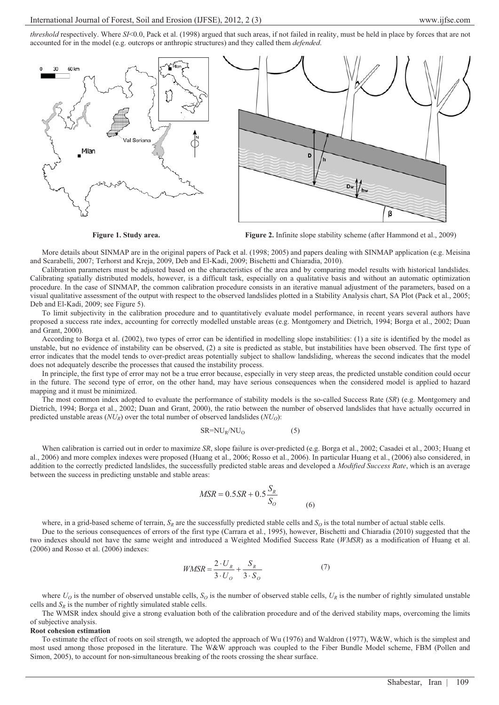*threshold* respectively. Where *SI*<0.0, Pack et al. (1998) argued that such areas, if not failed in reality, must be held in place by forces that are not accounted for in the model (e.g. outcrops or anthropic structures) and they called them *defended*.





**Figure 1. Study area.** Figure 2. Infinite slope stability scheme (after Hammond et al., 2009)

More details about SINMAP are in the original papers of Pack et al. (1998; 2005) and papers dealing with SINMAP application (e.g. Meisina and Scarabelli, 2007; Terhorst and Kreja, 2009, Deb and El-Kadi, 2009; Bischetti and Chiaradia, 2010).

Calibration parameters must be adjusted based on the characteristics of the area and by comparing model results with historical landslides. Calibrating spatially distributed models, however, is a difficult task, especially on a qualitative basis and without an automatic optimization procedure. In the case of SINMAP, the common calibration procedure consists in an iterative manual adjustment of the parameters, based on a visual qualitative assessment of the output with respect to the observed landslides plotted in a Stability Analysis chart, SA Plot (Pack et al., 2005; Deb and El-Kadi, 2009; see Figure 5).

To limit subjectivity in the calibration procedure and to quantitatively evaluate model performance, in recent years several authors have proposed a success rate index, accounting for correctly modelled unstable areas (e.g. Montgomery and Dietrich, 1994; Borga et al., 2002; Duan and Grant, 2000).

According to Borga et al. (2002), two types of error can be identified in modelling slope instabilities: (1) a site is identified by the model as unstable, but no evidence of instability can be observed, (2) a site is predicted as stable, but instabilities have been observed. The first type of error indicates that the model tends to over-predict areas potentially subject to shallow landsliding, whereas the second indicates that the model does not adequately describe the processes that caused the instability process.

In principle, the first type of error may not be a true error because, especially in very steep areas, the predicted unstable condition could occur in the future. The second type of error, on the other hand, may have serious consequences when the considered model is applied to hazard mapping and it must be minimized.

The most common index adopted to evaluate the performance of stability models is the so-called Success Rate (*SR*) (e.g. Montgomery and Dietrich, 1994; Borga et al., 2002; Duan and Grant, 2000), the ratio between the number of observed landslides that have actually occurred in predicted unstable areas  $(NU_R)$  over the total number of observed landslides  $(NU_Q)$ :

$$
SR = NU_R/NU_O \tag{5}
$$

When calibration is carried out in order to maximize *SR*, slope failure is over-predicted (e.g. Borga et al., 2002; Casadei et al., 2003; Huang et al., 2006) and more complex indexes were proposed (Huang et al., 2006; Rosso et al., 2006). In particular Huang et al., (2006) also considered, in addition to the correctly predicted landslides, the successfully predicted stable areas and developed a *Modified Success Rate*, which is an average between the success in predicting unstable and stable areas:

$$
MSR = 0.5SR + 0.5 \frac{S_R}{S_O}
$$
 (6)

where, in a grid-based scheme of terrain,  $S_R$  are the successfully predicted stable cells and  $S_Q$  is the total number of actual stable cells.

Due to the serious consequences of errors of the first type (Carrara et al., 1995), however, Bischetti and Chiaradia (2010) suggested that the two indexes should not have the same weight and introduced a Weighted Modified Success Rate (*WMSR*) as a modification of Huang et al. (2006) and Rosso et al. (2006) indexes:

$$
WMSR = \frac{2 \cdot U_R}{3 \cdot U_O} + \frac{S_R}{3 \cdot S_O} \tag{7}
$$

where  $U<sub>O</sub>$  is the number of observed unstable cells,  $S<sub>O</sub>$  is the number of observed stable cells,  $U<sub>R</sub>$  is the number of rightly simulated unstable cells and  $S_R$  is the number of rightly simulated stable cells.

The WMSR index should give a strong evaluation both of the calibration procedure and of the derived stability maps, overcoming the limits of subjective analysis.

#### **Root cohesion estimation**

To estimate the effect of roots on soil strength, we adopted the approach of Wu (1976) and Waldron (1977), W&W, which is the simplest and most used among those proposed in the literature. The W&W approach was coupled to the Fiber Bundle Model scheme, FBM (Pollen and Simon, 2005), to account for non-simultaneous breaking of the roots crossing the shear surface.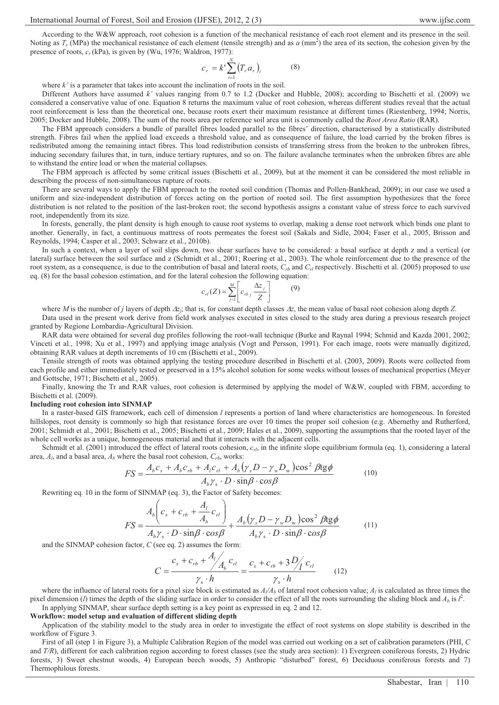According to the W&W approach, root cohesion is a function of the mechanical resistance of each root element and its presence in the soil. Noting as  $T_r$  (MPa) the mechanical resistance of each element (tensile strength) and as  $a$  (mm<sup>2</sup>) the area of its section, the cohesion given by the presence of roots,  $c_r$  (kPa), is given by (Wu, 1976; Waldron, 1977):

$$
c_r = k! \sum_{i=1}^{N} (T_r a_r)_i
$$
 (8)

where *k'* is a parameter that takes into account the inclination of roots in the soil.

Different Authors have assumed *k'* values ranging from 0.7 to 1.2 (Docker and Hubble, 2008); according to Bischetti et al. (2009) we considered a conservative value of one. Equation 8 returns the maximum value of root cohesion, whereas different studies reveal that the actual root reinforcement is less than the theoretical one, because roots exert their maximum resistance at different times (Riestenberg, 1994; Norris, 2005; Docker and Hubble, 2008). The sum of the roots area per reference soil area unit is commonly called the *Root Area Ratio* (RAR).

The FBM approach considers a bundle of parallel fibres loaded parallel to the fibres' direction, characterised by a statistically distributed strength. Fibres fail when the applied load exceeds a threshold value, and as consequence of failure, the load carried by the broken fibres is redistributed among the remaining intact fibres. This load redistribution consists of transferring stress from the broken to the unbroken fibres, inducing secondary failures that, in turn, induce tertiary ruptures, and so on. The failure avalanche terminates when the unbroken fibres are able to withstand the entire load or when the material collapses.

The FBM approach is affected by some critical issues (Bischetti et al., 2009), but at the moment it can be considered the most reliable in describing the process of non-simultaneous rupture of roots.

There are several ways to apply the FBM approach to the rooted soil condition (Thomas and Pollen-Bankhead, 2009); in our case we used a uniform and size-independent distribution of forces acting on the portion of rooted soil. The first assumption hypothesizes that the force distribution is not related to the position of the last-broken root; the second hypothesis assigns a constant value of stress force to each survived root, independently from its size.

In forests, generally, the plant density is high enough to cause root systems to overlap, making a dense root network which binds one plant to another. Generally, in fact, a continuous mattress of roots permeates the forest soil (Sakals and Sidle, 2004; Faser et al., 2005, Brisson and Reynolds, 1994; Casper et al., 2003; Schwarz et al., 2010b).

In such a context, when a layer of soil slips down, two shear surfaces have to be considered: a basal surface at depth z and a vertical (or lateral) surface between the soil surface and z (Schmidt et al., 2001; Roering et al., 2003). The whole reinforcement due to the presence of the root system, as a consequence, is due to the contribution of basal and lateral roots,  $C_{rb}$  and  $C_{rl}$  respectively. Bischetti et al. (2005) proposed to use eq. (8) for the basal cohesion estimation, and for the lateral cohesion the following equation:

$$
c_{nl}(Z) = \sum_{j=1}^{M} \left[ c_{rbj} \frac{\Delta z_j}{Z} \right]
$$
 (9)

where *M* is the number of *j* layers of depth  $\Delta z_i$ ; that is, for constant depth classes  $\Delta z$ , the mean value of basal root cohesion along depth *Z*.

Data used in the present work derive from field work analyses executed in sites closed to the study area during a previous research project granted by Regione Lombardia-Agricultural Division.

RAR data were obtained for several dug profiles following the root-wall technique (Burke and Raynal 1994; Schmid and Kazda 2001, 2002; Vinceti et al., 1998; Xu et al., 1997) and applying image analysis (Vogt and Persson, 1991). For each image, roots were manually digitized, obtaining RAR values at depth increments of 10 cm (Bischetti et al., 2009).

Tensile strength of roots was obtained applying the testing procedure described in Bischetti et al. (2003, 2009). Roots were collected from each profile and either immediately tested or preserved in a 15% alcohol solution for some weeks without losses of mechanical properties (Meyer and Gottsche, 1971; Bischetti et al., 2005).

Finally, knowing the Tr and RAR values, root cohesion is determined by applying the model of W&W, coupled with FBM, according to Bischetti et al. (2009).

#### **Including root cohesion into SINMAP**

In a raster-based GIS framework, each cell of dimension *l* represents a portion of land where characteristics are homogeneous. In forested hillslopes, root density is commonly so high that resistance forces are over 10 times the proper soil cohesion (e.g. Abernethy and Rutherford, 2001; Schmidt et al., 2001; Bischetti et al., 2005; Bischetti et al., 2009; Hales et al., 2009), supporting the assumptions that the rooted layer of the whole cell works as a unique, homogeneous material and that it interacts with the adjacent cells.

Schmidt et al. (2001) introduced the effect of lateral roots cohesion,  $c_{rl}$ , in the infinite slope equilibrium formula (eq. 1), considering a lateral area,  $A_l$ , and a basal area,  $A_b$  where the basal root cohesion,  $C_{rb}$ , works:

$$
FS = \frac{A_b c_s + A_b c_{rb} + A_l c_{rl} + A_b (\gamma_s D - \gamma_w D_w) \cos^2 \beta t g \phi}{A_b \gamma_s \cdot D \cdot \sin \beta \cdot \cos \beta}
$$
(10)

Rewriting eq. 10 in the form of SINMAP (eq. 3), the Factor of Safety becomes:

$$
FS = \frac{A_b \left(c_s + c_{rb} + \frac{A_l}{A_b} c_{rl}\right)}{A_b \gamma_s \cdot D \cdot \sin \beta \cdot \cos \beta} + \frac{A_b \left(\gamma_s D - \gamma_w D_w\right) \cos^2 \beta \text{tg} \phi}{A_b \gamma_s \cdot D \cdot \sin \beta \cdot \cos \beta} \tag{11}
$$

and the SINMAP cohesion factor, *C* (see eq. 2) assumes the form:

$$
C = \frac{c_s + c_{rb} + \frac{A_l}{A_b}c_{rl}}{\gamma_s \cdot h} = \frac{c_s + c_{rb} + 3\frac{D_l}{\gamma_s \cdot h}c_{rl}}{\gamma_s \cdot h}
$$
(12)

where the influence of lateral roots for a pixel size block is estimated as  $A/\lambda_b$  of lateral root cohesion value;  $A_l$  is calculated as three times the pixel dimension (*l*) times the depth of the sliding surface in order to consider the effect of all the roots surrounding the sliding block and  $A_b$  is  $l^2$ . In applying SINMAP, shear surface depth setting is a key point as expressed in eq. 2 and 12.

**Workflow: model setup and evaluation of different sliding depth** 

Application of the stability model to the study area in order to investigate the effect of root systems on slope stability is described in the workflow of Figure 3.

First of all (step 1 in Figure 3), a Multiple Calibration Region of the model was carried out working on a set of calibration parameters (PHI, *C* and *T/R*), different for each calibration region according to forest classes (see the study area section): 1) Evergreen coniferous forests, 2) Hydric forests, 3) Sweet chestnut woods, 4) European beech woods, 5) Anthropic "disturbed" forest, 6) Deciduous coniferous forests and 7) Thermophilous forests.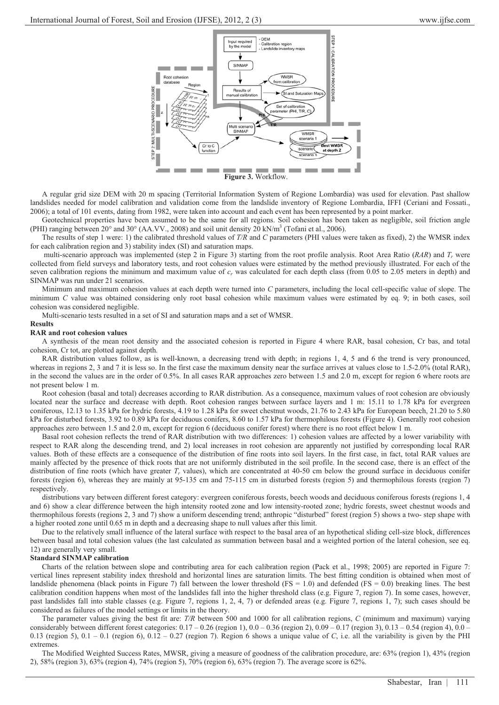

A regular grid size DEM with 20 m spacing (Territorial Information System of Regione Lombardia) was used for elevation. Past shallow landslides needed for model calibration and validation come from the landslide inventory of Regione Lombardia, IFFI (Ceriani and Fossati., 2006); a total of 101 events, dating from 1982, were taken into account and each event has been represented by a point marker.

Geotechnical properties have been assumed to be the same for all regions. Soil cohesion has been taken as negligible, soil friction angle (PHI) ranging between 20 $^{\circ}$  and 30 $^{\circ}$  (AA.VV., 2008) and soil unit density 20 kN/m<sup>3</sup> (Tofani et al., 2006).

The results of step 1 were: 1) the calibrated threshold values of *T/R* and *C* parameters (PHI values were taken as fixed), 2) the WMSR index for each calibration region and 3) stability index (SI) and saturation maps.

multi-scenario approach was implemented (step 2 in Figure 3) starting from the root profile analysis. Root Area Ratio (RAR) and  $T_r$  were collected from field surveys and laboratory tests, and root cohesion values were estimated by the method previously illustrated. For each of the seven calibration regions the minimum and maximum value of  $c_r$  was calculated for each depth class (from 0.05 to 2.05 meters in depth) and SINMAP was run under 21 scenarios.

Minimum and maximum cohesion values at each depth were turned into *C* parameters, including the local cell-specific value of slope. The minimum *C* value was obtained considering only root basal cohesion while maximum values were estimated by eq. 9; in both cases, soil cohesion was considered negligible.

Multi-scenario tests resulted in a set of SI and saturation maps and a set of WMSR.

## **Results**

## **RAR and root cohesion values**

A synthesis of the mean root density and the associated cohesion is reported in Figure 4 where RAR, basal cohesion, Cr bas, and total cohesion, Cr tot, are plotted against depth.

RAR distribution values follow, as is well-known, a decreasing trend with depth; in regions 1, 4, 5 and 6 the trend is very pronounced, whereas in regions 2, 3 and 7 it is less so. In the first case the maximum density near the surface arrives at values close to 1.5-2.0% (total RAR), in the second the values are in the order of 0.5%. In all cases RAR approaches zero between 1.5 and 2.0 m, except for region 6 where roots are not present below 1 m.

Root cohesion (basal and total) decreases according to RAR distribution. As a consequence, maximum values of root cohesion are obviously located near the surface and decrease with depth. Root cohesion ranges between surface layers and 1 m: 15.11 to 1.78 kPa for evergreen coniferous, 12.13 to 1.35 kPa for hydric forests, 4.19 to 1.28 kPa for sweet chestnut woods, 21.76 to 2.43 kPa for European beech, 21.20 to 5.80 kPa for disturbed forests, 3.92 to 0.89 kPa for deciduous conifers, 8.60 to 1.57 kPa for thermophilous forests (Figure 4). Generally root cohesion approaches zero between 1.5 and 2.0 m, except for region 6 (deciduous conifer forest) where there is no root effect below 1 m.

Basal root cohesion reflects the trend of RAR distribution with two differences: 1) cohesion values are affected by a lower variability with respect to RAR along the descending trend, and 2) local increases in root cohesion are apparently not justified by corresponding local RAR values. Both of these effects are a consequence of the distribution of fine roots into soil layers. In the first case, in fact, total RAR values are mainly affected by the presence of thick roots that are not uniformly distributed in the soil profile. In the second case, there is an effect of the distribution of fine roots (which have greater  $T_r$  values), which are concentrated at 40-50 cm below the ground surface in deciduous conifer forests (region 6), whereas they are mainly at 95-135 cm and 75-115 cm in disturbed forests (region 5) and thermophilous forests (region 7) respectively.

distributions vary between different forest category: evergreen coniferous forests, beech woods and deciduous coniferous forests (regions 1, 4 and 6) show a clear difference between the high intensity rooted zone and low intensity-rooted zone; hydric forests, sweet chestnut woods and thermophilous forests (regions 2, 3 and 7) show a uniform descending trend; anthropic "disturbed" forest (region 5) shows a two- step shape with a higher rooted zone until 0.65 m in depth and a decreasing shape to null values after this limit.

Due to the relatively small influence of the lateral surface with respect to the basal area of an hypothetical sliding cell-size block, differences between basal and total cohesion values (the last calculated as summation between basal and a weighted portion of the lateral cohesion, see eq. 12) are generally very small.

## **Standard SINMAP calibration**

Charts of the relation between slope and contributing area for each calibration region (Pack et al., 1998; 2005) are reported in Figure 7: vertical lines represent stability index threshold and horizontal lines are saturation limits. The best fitting condition is obtained when most of landslide phenomena (black points in Figure 7) fall between the lower threshold (FS = 1.0) and defended (FS = 0.0) breaking lines. The best calibration condition happens when most of the landslides fall into the higher threshold class (e.g. Figure 7, region 7). In some cases, however, past landslides fall into stable classes (e.g. Figure 7, regions 1, 2, 4, 7) or defended areas (e.g. Figure 7, regions 1, 7); such cases should be considered as failures of the model settings or limits in the theory.

The parameter values giving the best fit are: *T/R* between 500 and 1000 for all calibration regions, *C* (minimum and maximum) varying considerably between different forest categories:  $0.17 - 0.26$  (region 1),  $0.0 - 0.36$  (region 2),  $0.09 - 0.17$  (region 3),  $0.13 - 0.54$  (region 4),  $0.0 - 0.09$ 0.13 (region 5), 0.1 – 0.1 (region 6), 0.12 – 0.27 (region 7). Region 6 shows a unique value of *C*, i.e. all the variability is given by the PHI extremes.

The Modified Weighted Success Rates, MWSR, giving a measure of goodness of the calibration procedure, are: 63% (region 1), 43% (region 2), 58% (region 3), 63% (region 4), 74% (region 5), 70% (region 6), 63% (region 7). The average score is 62%.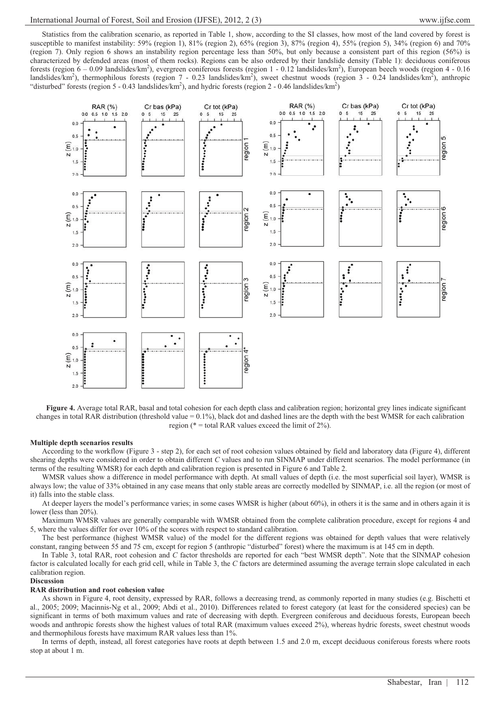Statistics from the calibration scenario, as reported in Table 1, show, according to the SI classes, how most of the land covered by forest is susceptible to manifest instability: 59% (region 1), 81% (region 2), 65% (region 3), 87% (region 4), 55% (region 5), 34% (region 6) and 70% (region 7). Only region 6 shows an instability region percentage less than 50%, but only because a consistent part of this region (56%) is characterized by defended areas (most of them rocks). Regions can be also ordered by their landslide density (Table 1): deciduous coniferous forests (region 6 - 0.09 landslides/km<sup>2</sup>), evergreen coniferous forests (region 1 - 0.12 landslides/km<sup>2</sup>), European beech woods (region 4 - 0.16 landslides/km<sup>2</sup>), thermophilous forests (region 7 - 0.23 landslides/km<sup>2</sup>), sweet chestnut woods (region  $3 - 0.24$  landslides/km<sup>2</sup>), anthropic "disturbed" forests (region 5 - 0.43 landslides/km<sup>2</sup>), and hydric forests (region 2 - 0.46 landslides/km<sup>2</sup>)



 **Figure 4.** Average total RAR, basal and total cohesion for each depth class and calibration region; horizontal grey lines indicate significant changes in total RAR distribution (threshold value = 0.1%), black dot and dashed lines are the depth with the best WMSR for each calibration region ( $* =$  total RAR values exceed the limit of 2%).

## **Multiple depth scenarios results**

According to the workflow (Figure 3 - step 2), for each set of root cohesion values obtained by field and laboratory data (Figure 4), different shearing depths were considered in order to obtain different *C* values and to run SINMAP under different scenarios. The model performance (in terms of the resulting WMSR) for each depth and calibration region is presented in Figure 6 and Table 2.

WMSR values show a difference in model performance with depth. At small values of depth (i.e. the most superficial soil layer), WMSR is always low; the value of 33% obtained in any case means that only stable areas are correctly modelled by SINMAP, i.e. all the region (or most of it) falls into the stable class.

At deeper layers the model's performance varies; in some cases WMSR is higher (about 60%), in others it is the same and in others again it is lower (less than 20%).

Maximum WMSR values are generally comparable with WMSR obtained from the complete calibration procedure, except for regions 4 and 5, where the values differ for over 10% of the scores with respect to standard calibration.

The best performance (highest WMSR value) of the model for the different regions was obtained for depth values that were relatively constant, ranging between 55 and 75 cm, except for region 5 (anthropic "disturbed" forest) where the maximum is at 145 cm in depth.

In Table 3, total RAR, root cohesion and *C* factor thresholds are reported for each "best WMSR depth". Note that the SINMAP cohesion factor is calculated locally for each grid cell, while in Table 3, the *C* factors are determined assuming the average terrain slope calculated in each calibration region.

## **Discussion**

# **RAR distribution and root cohesion value**

As shown in Figure 4, root density, expressed by RAR, follows a decreasing trend, as commonly reported in many studies (e.g. Bischetti et al., 2005; 2009; Macinnis-Ng et al., 2009; Abdi et al., 2010). Differences related to forest category (at least for the considered species) can be significant in terms of both maximum values and rate of decreasing with depth. Evergreen coniferous and deciduous forests, European beech woods and anthropic forests show the highest values of total RAR (maximum values exceed 2%), whereas hydric forests, sweet chestnut woods and thermophilous forests have maximum RAR values less than 1%.

In terms of depth, instead, all forest categories have roots at depth between 1.5 and 2.0 m, except deciduous coniferous forests where roots stop at about 1 m.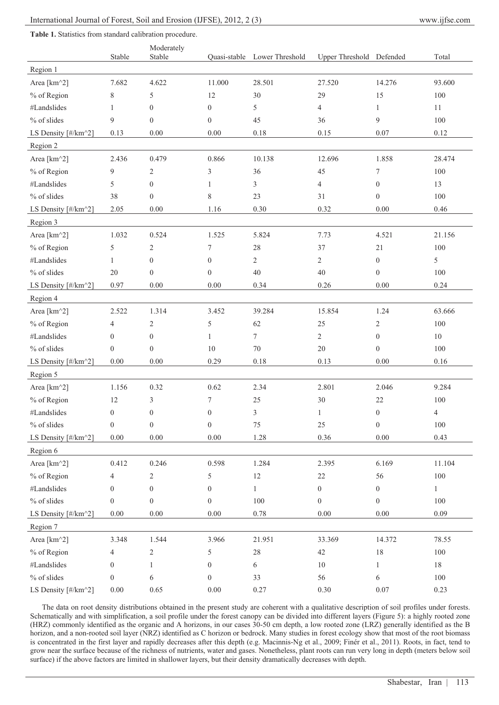|                     | Stable           | Moderately<br>Stable |                  | Quasi-stable Lower Threshold | Upper Threshold Defended |                  | Total          |
|---------------------|------------------|----------------------|------------------|------------------------------|--------------------------|------------------|----------------|
| Region 1            |                  |                      |                  |                              |                          |                  |                |
| Area [km^2]         | 7.682            | 4.622                | 11.000           | 28.501                       | 27.520                   | 14.276           | 93.600         |
| % of Region         | 8                | 5                    | 12               | 30                           | 29                       | 15               | 100            |
| #Landslides         | 1                | $\mathbf{0}$         | $\mathbf{0}$     | 5                            | 4                        | $\mathbf{1}$     | 11             |
| % of slides         | 9                | $\mathbf{0}$         | $\boldsymbol{0}$ | 45                           | 36                       | 9                | 100            |
| LS Density [#/km^2] | 0.13             | 0.00                 | 0.00             | 0.18                         | 0.15                     | 0.07             | 0.12           |
| Region 2            |                  |                      |                  |                              |                          |                  |                |
| Area [km^2]         | 2.436            | 0.479                | 0.866            | 10.138                       | 12.696                   | 1.858            | 28.474         |
| % of Region         | 9                | $\overline{c}$       | 3                | 36                           | 45                       | 7                | 100            |
| #Landslides         | 5                | $\boldsymbol{0}$     | $\mathbf{1}$     | 3                            | $\overline{4}$           | $\mathbf{0}$     | 13             |
| % of slides         | 38               | $\boldsymbol{0}$     | $\,$ 8 $\,$      | 23                           | 31                       | $\boldsymbol{0}$ | 100            |
| LS Density [#/km^2] | 2.05             | 0.00                 | 1.16             | 0.30                         | 0.32                     | 0.00             | 0.46           |
| Region 3            |                  |                      |                  |                              |                          |                  |                |
| Area [km^2]         | 1.032            | 0.524                | 1.525            | 5.824                        | 7.73                     | 4.521            | 21.156         |
| % of Region         | 5                | $\overline{2}$       | 7                | 28                           | 37                       | 21               | 100            |
| #Landslides         | $\mathbf{1}$     | $\boldsymbol{0}$     | $\boldsymbol{0}$ | $\overline{c}$               | 2                        | $\boldsymbol{0}$ | $\mathfrak s$  |
| % of slides         | 20               | $\mathbf{0}$         | $\boldsymbol{0}$ | 40                           | 40                       | $\mathbf{0}$     | 100            |
| LS Density [#/km^2] | 0.97             | $0.00\,$             | $0.00\,$         | 0.34                         | 0.26                     | $0.00\,$         | 0.24           |
| Region 4            |                  |                      |                  |                              |                          |                  |                |
| Area [km^2]         | 2.522            | 1.314                | 3.452            | 39.284                       | 15.854                   | 1.24             | 63.666         |
| % of Region         | $\overline{4}$   | $\overline{c}$       | 5                | 62                           | 25                       | 2                | 100            |
| #Landslides         | $\boldsymbol{0}$ | $\mathbf{0}$         | 1                | 7                            | $\overline{2}$           | $\mathbf{0}$     | 10             |
| % of slides         | $\boldsymbol{0}$ | $\mathbf{0}$         | 10               | 70                           | 20                       | $\boldsymbol{0}$ | 100            |
| LS Density [#/km^2] | $0.00\,$         | 0.00                 | 0.29             | $0.18\,$                     | 0.13                     | $0.00\,$         | 0.16           |
| Region 5            |                  |                      |                  |                              |                          |                  |                |
| Area [km^2]         | 1.156            | 0.32                 | 0.62             | 2.34                         | 2.801                    | 2.046            | 9.284          |
| % of Region         | 12               | 3                    | 7                | 25                           | 30                       | 22               | 100            |
| #Landslides         | $\boldsymbol{0}$ | $\boldsymbol{0}$     | $\boldsymbol{0}$ | 3                            | $\mathbf{1}$             | $\boldsymbol{0}$ | $\overline{4}$ |
| $%$ of slides       | $\boldsymbol{0}$ | $\boldsymbol{0}$     | $\boldsymbol{0}$ | $75\,$                       | $25\,$                   | $\boldsymbol{0}$ | 100            |
| LS Density [#/km^2] | $0.00\,$         | $0.00\,$             | $0.00\,$         | 1.28                         | 0.36                     | $0.00\,$         | 0.43           |
| Region 6            |                  |                      |                  |                              |                          |                  |                |
| Area [km^2]         | 0.412            | 0.246                | 0.598            | 1.284                        | 2.395                    | 6.169            | 11.104         |
| % of Region         | 4                | 2                    | 5                | 12                           | $22\,$                   | 56               | 100            |
| #Landslides         | $\boldsymbol{0}$ | $\boldsymbol{0}$     | $\boldsymbol{0}$ | 1                            | $\overline{0}$           | $\overline{0}$   | $\,1$          |
| $%$ of slides       | $\boldsymbol{0}$ | $\boldsymbol{0}$     | $\boldsymbol{0}$ | 100                          | $\boldsymbol{0}$         | $\boldsymbol{0}$ | 100            |
| LS Density [#/km^2] | $0.00\,$         | $0.00\,$             | $0.00\,$         | 0.78                         | 0.00                     | $0.00\,$         | 0.09           |
| Region 7            |                  |                      |                  |                              |                          |                  |                |
| Area [km^2]         | 3.348            | 1.544                | 3.966            | 21.951                       | 33.369                   | 14.372           | 78.55          |
| % of Region         | $\overline{4}$   | $\sqrt{2}$           | 5                | $28\,$                       | 42                       | 18               | 100            |
| #Landslides         | $\boldsymbol{0}$ | $\mathbf{1}$         | $\boldsymbol{0}$ | 6                            | $10\,$                   | $\mathbf{1}$     | $18\,$         |
| $%$ of slides       | $\boldsymbol{0}$ | 6                    | $\boldsymbol{0}$ | 33                           | 56                       | 6                | 100            |
| LS Density [#/km^2] | $0.00\,$         | 0.65                 | $0.00\,$         | 0.27                         | 0.30                     | $0.07\,$         | 0.23           |

The data on root density distributions obtained in the present study are coherent with a qualitative description of soil profiles under forests. Schematically and with simplification, a soil profile under the forest canopy can be divided into different layers (Figure 5): a highly rooted zone (HRZ) commonly identified as the organic and A horizons, in our cases 30-50 cm depth, a low rooted zone (LRZ) generally identified as the B horizon, and a non-rooted soil layer (NRZ) identified as C horizon or bedrock. Many studies in forest ecology show that most of the root biomass is concentrated in the first layer and rapidly decreases after this depth (e.g. Macinnis-Ng et al., 2009; Finér et al., 2011). Roots, in fact, tend to grow near the surface because of the richness of nutrients, water and gases. Nonetheless, plant roots can run very long in depth (meters below soil surface) if the above factors are limited in shallower layers, but their density dramatically decreases with depth.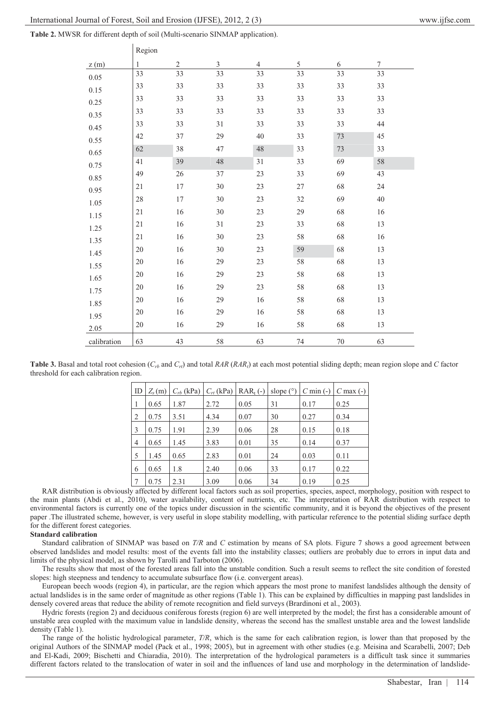$R$ egion

| Table 2. MWSR for different depth of soil (Multi-scenario SINMAP application). |  |  |  |  |  |
|--------------------------------------------------------------------------------|--|--|--|--|--|
|--------------------------------------------------------------------------------|--|--|--|--|--|

|             | $\mathbf{R}$ |                |                |                |    |    |                  |
|-------------|--------------|----------------|----------------|----------------|----|----|------------------|
| z(m)        | $\mathbf{1}$ | $\overline{2}$ | $\mathfrak{Z}$ | $\overline{4}$ | 5  | 6  | $\boldsymbol{7}$ |
| $0.05\,$    | 33           | 33             | 33             | 33             | 33 | 33 | 33               |
| 0.15        | 33           | 33             | 33             | 33             | 33 | 33 | 33               |
| 0.25        | 33           | 33             | 33             | 33             | 33 | 33 | 33               |
| 0.35        | 33           | 33             | 33             | 33             | 33 | 33 | 33               |
| 0.45        | 33           | 33             | 31             | 33             | 33 | 33 | 44               |
| 0.55        | 42           | 37             | 29             | 40             | 33 | 73 | 45               |
| 0.65        | 62           | 38             | 47             | 48             | 33 | 73 | 33               |
| 0.75        | 41           | 39             | 48             | 31             | 33 | 69 | 58               |
| 0.85        | 49           | 26             | 37             | 23             | 33 | 69 | 43               |
| 0.95        | 21           | $17\,$         | 30             | 23             | 27 | 68 | 24               |
| 1.05        | 28           | $17\,$         | 30             | 23             | 32 | 69 | 40               |
| 1.15        | 21           | 16             | 30             | 23             | 29 | 68 | 16               |
|             | 21           | 16             | 31             | 23             | 33 | 68 | 13               |
| 1.25        | 21           | 16             | 30             | 23             | 58 | 68 | 16               |
| 1.35        | 20           | 16             | 30             | 23             | 59 | 68 | 13               |
| 1.45        | 20           | 16             | 29             | 23             | 58 | 68 | 13               |
| 1.55        | 20           | 16             | 29             | 23             | 58 | 68 | 13               |
| 1.65        | 20           | 16             | 29             | 23             | 58 | 68 | 13               |
| 1.75        |              |                |                |                |    |    |                  |
| 1.85        | 20           | 16             | 29             | 16             | 58 | 68 | 13               |
| 1.95        | 20           | 16             | 29             | 16             | 58 | 68 | 13               |
| 2.05        | 20           | 16             | 29             | 16             | 58 | 68 | 13               |
| calibration | 63           | 43             | 58             | 63             | 74 | 70 | 63               |

**Table 3.** Basal and total root cohesion  $(C_{rb}$  and  $C_{rb}$ ) and total *RAR* (*RAR<sub>t</sub>*) at each most potential sliding depth; mean region slope and *C* factor threshold for each calibration region.

| ID | $Z_s(m)$ | $C_{rb}$ (kPa) |      | $C_{rt}$ (kPa) RAR <sub>t</sub> (-) | slope $(°)$ | $C \text{ min}$ (-) | $C$ max $(-)$ |
|----|----------|----------------|------|-------------------------------------|-------------|---------------------|---------------|
| 1  | 0.65     | 1.87           | 2.72 | 0.05                                | 31          | 0.17                | 0.25          |
| 2  | 0.75     | 3.51           | 4.34 | 0.07                                | 30          | 0.27                | 0.34          |
| 3  | 0.75     | 1.91           | 2.39 | 0.06                                | 28          | 0.15                | 0.18          |
| 4  | 0.65     | 1.45           | 3.83 | 0.01                                | 35          | 0.14                | 0.37          |
| 5  | 1.45     | 0.65           | 2.83 | 0.01                                | 24          | 0.03                | 0.11          |
| 6  | 0.65     | 1.8            | 2.40 | 0.06                                | 33          | 0.17                | 0.22          |
| 7  | 0.75     | 2.31           | 3.09 | 0.06                                | 34          | 0.19                | 0.25          |

RAR distribution is obviously affected by different local factors such as soil properties, species, aspect, morphology, position with respect to the main plants (Abdi et al., 2010), water availability, content of nutrients, etc. The interpretation of RAR distribution with respect to environmental factors is currently one of the topics under discussion in the scientific community, and it is beyond the objectives of the present paper .The illustrated scheme, however, is very useful in slope stability modelling, with particular reference to the potential sliding surface depth for the different forest categories.

## **Standard calibration**

Standard calibration of SINMAP was based on *T/R* and *C* estimation by means of SA plots. Figure 7 shows a good agreement between observed landslides and model results: most of the events fall into the instability classes; outliers are probably due to errors in input data and limits of the physical model, as shown by Tarolli and Tarboton (2006).

The results show that most of the forested areas fall into the unstable condition. Such a result seems to reflect the site condition of forested slopes: high steepness and tendency to accumulate subsurface flow (i.e. convergent areas).

European beech woods (region 4), in particular, are the region which appears the most prone to manifest landslides although the density of actual landslides is in the same order of magnitude as other regions (Table 1). This can be explained by difficulties in mapping past landslides in densely covered areas that reduce the ability of remote recognition and field surveys (Brardinoni et al., 2003).

Hydric forests (region 2) and deciduous coniferous forests (region 6) are well interpreted by the model; the first has a considerable amount of unstable area coupled with the maximum value in landslide density, whereas the second has the smallest unstable area and the lowest landslide density (Table 1).

The range of the holistic hydrological parameter, *T/R*, which is the same for each calibration region, is lower than that proposed by the original Authors of the SINMAP model (Pack et al., 1998; 2005), but in agreement with other studies (e.g. Meisina and Scarabelli, 2007; Deb and El-Kadi, 2009; Bischetti and Chiaradia, 2010). The interpretation of the hydrological parameters is a difficult task since it summaries different factors related to the translocation of water in soil and the influences of land use and morphology in the determination of landslide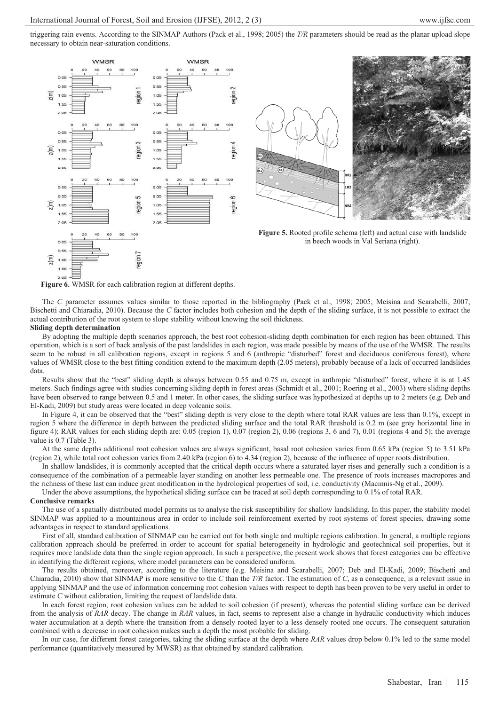triggering rain events. According to the SINMAP Authors (Pack et al., 1998; 2005) the *T/R* parameters should be read as the planar upload slope necessary to obtain near-saturation conditions.





**Figure 5.** Rooted profile schema (left) and actual case with landslide in beech woods in Val Seriana (right).

**Figure 6.** WMSR for each calibration region at different depths.

The *C* parameter assumes values similar to those reported in the bibliography (Pack et al., 1998; 2005; Meisina and Scarabelli, 2007; Bischetti and Chiaradia, 2010). Because the *C* factor includes both cohesion and the depth of the sliding surface, it is not possible to extract the actual contribution of the root system to slope stability without knowing the soil thickness.

#### **Sliding depth determination**

By adopting the multiple depth scenarios approach, the best root cohesion-sliding depth combination for each region has been obtained. This operation, which is a sort of back analysis of the past landslides in each region, was made possible by means of the use of the WMSR. The results seem to be robust in all calibration regions, except in regions 5 and 6 (anthropic "disturbed" forest and deciduous coniferous forest), where values of WMSR close to the best fitting condition extend to the maximum depth (2.05 meters), probably because of a lack of occurred landslides data.

Results show that the "best" sliding depth is always between 0.55 and 0.75 m, except in anthropic "disturbed" forest, where it is at 1.45 meters. Such findings agree with studies concerning sliding depth in forest areas (Schmidt et al., 2001; Roering et al., 2003) where sliding depths have been observed to range between 0.5 and 1 meter. In other cases, the sliding surface was hypothesized at depths up to 2 meters (e.g. Deb and El-Kadi, 2009) but study areas were located in deep volcanic soils.

In Figure 4, it can be observed that the "best" sliding depth is very close to the depth where total RAR values are less than 0.1%, except in region 5 where the difference in depth between the predicted sliding surface and the total RAR threshold is 0.2 m (see grey horizontal line in figure 4); RAR values for each sliding depth are: 0.05 (region 1), 0.07 (region 2), 0.06 (regions 3, 6 and 7), 0.01 (regions 4 and 5); the average value is 0.7 (Table 3).

At the same depths additional root cohesion values are always significant, basal root cohesion varies from 0.65 kPa (region 5) to 3.51 kPa (region 2), while total root cohesion varies from 2.40 kPa (region 6) to 4.34 (region 2), because of the influence of upper roots distribution.

In shallow landslides, it is commonly accepted that the critical depth occurs where a saturated layer rises and generally such a condition is a consequence of the combination of a permeable layer standing on another less permeable one. The presence of roots increases macropores and the richness of these last can induce great modification in the hydrological properties of soil, i.e. conductivity (Macinnis-Ng et al., 2009).

Under the above assumptions, the hypothetical sliding surface can be traced at soil depth corresponding to 0.1% of total RAR.

#### **Conclusive remarks**

The use of a spatially distributed model permits us to analyse the risk susceptibility for shallow landsliding. In this paper, the stability model SINMAP was applied to a mountainous area in order to include soil reinforcement exerted by root systems of forest species, drawing some advantages in respect to standard applications.

First of all, standard calibration of SINMAP can be carried out for both single and multiple regions calibration. In general, a multiple regions calibration approach should be preferred in order to account for spatial heterogeneity in hydrologic and geotechnical soil properties, but it requires more landslide data than the single region approach. In such a perspective, the present work shows that forest categories can be effective in identifying the different regions, where model parameters can be considered uniform.

The results obtained, moreover, according to the literature (e.g. Meisina and Scarabelli, 2007; Deb and El-Kadi, 2009; Bischetti and Chiaradia, 2010) show that SINMAP is more sensitive to the *C* than the *T/R* factor. The estimation of *C*, as a consequence, is a relevant issue in applying SINMAP and the use of information concerning root cohesion values with respect to depth has been proven to be very useful in order to estimate *C* without calibration, limiting the request of landslide data.

In each forest region, root cohesion values can be added to soil cohesion (if present), whereas the potential sliding surface can be derived from the analysis of *RAR* decay. The change in *RAR* values, in fact, seems to represent also a change in hydraulic conductivity which induces water accumulation at a depth where the transition from a densely rooted layer to a less densely rooted one occurs. The consequent saturation combined with a decrease in root cohesion makes such a depth the most probable for sliding.

In our case, for different forest categories, taking the sliding surface at the depth where *RAR* values drop below 0.1% led to the same model performance (quantitatively measured by MWSR) as that obtained by standard calibration.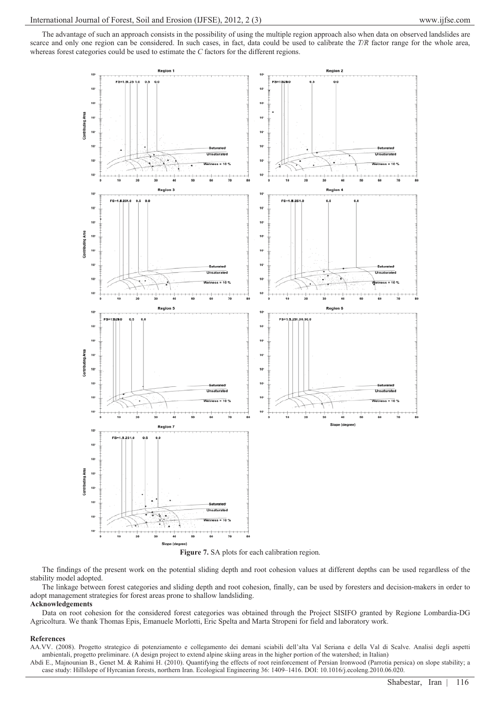The advantage of such an approach consists in the possibility of using the multiple region approach also when data on observed landslides are scarce and only one region can be considered. In such cases, in fact, data could be used to calibrate the *T/R* factor range for the whole area, whereas forest categories could be used to estimate the *C* factors for the different regions.





The findings of the present work on the potential sliding depth and root cohesion values at different depths can be used regardless of the stability model adopted.

The linkage between forest categories and sliding depth and root cohesion, finally, can be used by foresters and decision-makers in order to adopt management strategies for forest areas prone to shallow landsliding.

# **Acknowledgements**

Data on root cohesion for the considered forest categories was obtained through the Project SISIFO granted by Regione Lombardia-DG Agricoltura. We thank Thomas Epis, Emanuele Morlotti, Eric Spelta and Marta Stropeni for field and laboratory work.

#### **References**

AA.VV. (2008). Progetto strategico di potenziamento e collegamento dei demani sciabili dell'alta Val Seriana e della Val di Scalve. Analisi degli aspetti ambientali, progetto preliminare. (A design project to extend alpine skiing areas in the higher portion of the watershed; in Italian)

Abdi E., Majnounian B., Genet M. & Rahimi H. (2010). Quantifying the effects of root reinforcement of Persian Ironwood (Parrotia persica) on slope stability; a case study: Hillslope of Hyrcanian forests, northern Iran. Ecological Engineering 36: 1409–1416. DOI: 10.1016/j.ecoleng.2010.06.020.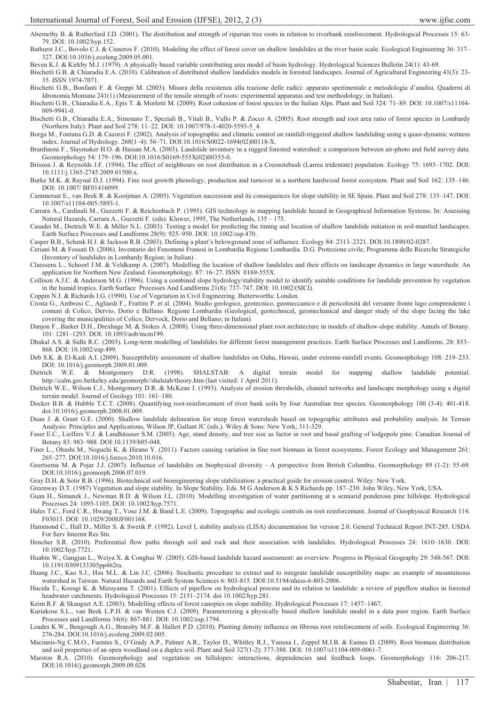Abernethy B. & Rutherfurd J.D. (2001). The distribution and strength of riparian tree roots in relation to riverbank reinforcement. Hydrological Processes 15: 63- 79. DOI: 10.1002/hyp.152.

Bathurst J.C., Bovolo C.I. & Cisneros F. (2010). Modeling the effect of forest cover on shallow landslides at the river basin scale. Ecological Engineering 36: 317– 327. DOI:10.1016/j.ecoleng.2009.05.001.

Beven K.J. & Kirkby M.J. (1979). A physically based variable contributing area model of basin hydrology. Hydrological Sciences Bulletin 24(1): 43-69.

Bischetti G.B. & Chiaradia E.A. (2010). Calibration of distributed shallow landslides models in forested landscapes. Journal of Agricultural Engineering 41(3): 23- 35. ISSN 1974-7071.

Bischetti G.B., Bonfanti F. & Greppi M. (2003). Misura della resistenza alla trazione delle radici: apparato sperimentale e metodologia d'analisi. Quaderni di Idronomia Montana 241(1) (Measurement of the tensile strength of roots: experimental apparatus and test methodology; in Italian).

Bischetti G.B., Chiaradia E.A., Epis T. & Morlotti M. (2009). Root cohesion of forest species in the Italian Alps. Plant and Soil 324: 71–89. DOI: 10.1007/s11104- 009-9941-0.

Bischetti G.B., Chiaradia E.A., Simonato T., Speziali B., Vitali B., Vullo P. & Zocco A. (2005). Root strength and root area ratio of forest species in Lombardy (Northern Italy). Plant and Soil 278: 11–22. DOI: 10.1007/978-1-4020-5593-5\_4.

Borga M., Fontana G.D. & Cazorzi F. (2002). Analysis of topographic and climatic control on rainfall-triggered shallow landsliding using a quasi-dynamic wetness index. Journal of Hydrology. 268(1–4): 56–71. DOI:10.1016/S0022-1694(02)00118-X.

Brardinoni F., Slaymaker H.O. & Hassan M.A. (2003). Landslide inventory in a rugged forested watershed: a comparison between air-photo and field survey data. Geomorphology 54: 179–196. DOI:10.1016/S0169-555X(02)00355-0.

Brisson J. & Reynolds J.F. (1994). The effect of neighbours on root distribution in a Creosotebush (Larrea tridentate) population. Ecology 75: 1693–1702. DOI: 10.1111/j.1365-2745.2009.01500.x.

Burke M.K. & Raynal D.J. (1994). Fine root growth phenology, production and turnover in a northern hardwood forest ecosystem. Plant and Soil 162: 135–146. DOI: 10.1007/ BF01416099.

Cammeraat E., van Beek R. & Kooijman A. (2005). Vegetation succession and its consequences for slope stability in SE Spain. Plant and Soil 278: 135–147. DOI: 10.1007/s11104-005-5893-1.

Carrara A., Cardinali M., Guzzetti F. & Reichenbach P. (1995). GIS technology in mapping landslide hazard in Geographical Information Systems. In: Assessing Natural Hazards, Carrara A., Guzzetti F. (eds). Kluwer, 1995, The Netherlands, 135 – 175.

Casadei M., Dietrich W.E. & Miller N.L. (2003). Testing a model for predicting the timing and location of shallow landslide initiation in soil-mantled landscapes. Earth Surface Processes and Landforms 28(9): 925–950. DOI: 10.1002/esp.470.

Casper B.B., Schenk H.J. & Jackson R.B. (2003). Defining a plant's belowground zone of influence. Ecology 84: 2313–2321. DOI:10.1890/02-0287.

Ceriani M. & Fossati D. (2006). Inventario dei Fenomeni Franosi in Lombardia Regione Lombardia. D.G. Protezione civile, Programma delle Ricerche Strategiche (Inventory of landslides in Lombardy Region; in Italian) .

Claessens L., Schoorl J.M. & Veldkamp A. (2007). Modelling the location of shallow landslides and their effects on landscape dynamics in large watersheds: An application for Northern New Zealand. Geomorphology. 87: 16–27. ISSN 0169-555X.

Collison A.J.C. & Anderson M.G. (1996). Using a combined slope hydrology/stability model to identify suitable conditions for landslide prevention by vegetation in the humid tropics. Earth Surface Processes And Landforms 21(8): 737–747. DOI: 10.1002/(SICI).

Coppin N.J. & Richards I.G. (1990). Use of Vegetation in Civil Engineering. Butterworths: London.

Crosta G., Ambrosi C., Agliardi F., Frattini P. et al. (2004). Studio geologico, geotecnico, geomeccanico e di pericolosità del versante fronte lago comprendente i comuni di Colico, Dervio, Dorio e Bellano. Regione Lombardia (Geological, geotechnical, geomechanical and danger study of the slope facing the lake covering the municipalities of Colico, Dervock, Dorio and Bellano; in Italian).

Danjon F., Barker D.H., Drexhage M. & Stokes A. (2008). Using three-dimensional plant root architecture in models of shallow-slope stability. Annals of Botany. 101: 1281–1293. DOI: 10.1093/aob/mcm199.

Dhakal A.S. & Sidle R.C. (2003). Long-term modelling of landslides for different forest management practices. Earth Surface Processes and Landforms. 28: 853– 868. DOI: 10.1002/esp.499.

Deb S.K. & El-Kadi A.I. (2009). Susceptibility assessment of shallow landslides on Oahu, Hawaii, under extreme-rainfall events. Geomorphology 108: 219–233.

DOI: 10.1016/j.geomorph.2009.01.009.<br>trich W.E. & Montgomery D Dietrich W.E. & Montgomery D.R. (1998). SHALSTAB: A digital terrain model for mapping shallow landslide potential. http://calm.geo.berkeley.edu/geomorph//shalstab/theory.htm (last visited: 1 April 2011).

Dietrich W.E., Wilson C.J., Montgomery D.R. & McKean J. (1993). Analysis of erosion thresholds, channel networks and landscape morphology using a digital terrain model. Journal of Geology 101: 161–180.

Docker B.B. & Hubble T.C.T. (2008). Quantifying root-reinforcement of river bank soils by four Australian tree species. Geomorphology 100 (3-4): 401-418. doi:10.1016/j.geomorph.2008.01.009.

Duan J. & Grant G.E. (2000). Shallow landslide delineation for steep forest watersheds based on topographic attributes and probability analysis. In Terrain Analysis: Principles and Applications, Wilson JP, Gallant JC (eds.). Wiley & Sons: New York; 311-329.

Faser E.C., Lieffers V.J. & Landhäusser S.M. (2005). Age, stand density, and tree size as factor in root and basal grafting of lodgepole pine. Canadian Journal of Botany 83: 983–988. DOI:10.1139/b05-048.

Finer L., Ohashi M., Noguchi K. & Hirano Y. (2011). Factors causing variation in fine root biomass in forest ecosystems. Forest Ecology and Management 261: 265–277. DOI:10.1016/j.foreco.2010.10.016.

Geertsema M. & Pojar J.J. (2007). Influence of landslides on biophysical diversity - A perspective from British Columbia. Geomorphology 89 (1-2): 55-69. DOI:10.1016/j.geomorph.2006.07.019.

Gray D.H. & Sotir R.B. (1996). Biotechnical soil bioengineering slope stabilization: a practical guide for erosion control. Wiley: New York.

Greenway D.T. (1987) Vegetation and slope stability. In Slope Stability. Eds. M G Anderson & K S Richards pp. 187–230. John Wiley, New York, USA.

Guan H., Simunek J., Newman B.D. & Wilson J.L. (2010). Modelling investigation of water partitioning at a semiarid ponderosa pine hillslope. Hydrological Processes 24: 1095-1105. DOI: 10.1002/hyp.7571.

Hales T.C., Ford C.R., Hwang T., Vose J.M. & Band L.E. (2009). Topographic and ecologic controls on root reinforcement. Journal of Geophysical Research 114: F03013. DOI: 10.1029/2008JF001168.

Hammond C., Hall D., Miller S. & Swetik P. (1992). Level I, stability analysis (LISA) documentation for version 2.0. General Technical Report INT-285. USDA For Serv Intermt Res Stn.

Hencher S.R. (2010). Preferential flow paths through soil and rock and their association with landslides. Hydrological Processes 24: 1610–1630. DOI: 10.1002/hyp.7721.

Huabin W., Gangjun L., Weiya X. & Conghui W. (2005). GIS-based landslide hazard assessment: an overview. Progress in Physical Geography 29: 548-567. DOI: 10.1191/0309133305pp462ra.

Huang J.C., Kao S.J., Hsu M.L. & Lin J.C. (2006). Stochastic procedure to extract and to integrate landslide susceptibility maps: an example of mountainous watershed in Taiwan. Natural Hazards and Earth System Sciences 6: 803-815. DOI:10.5194/nhess-6-803-2006.

Hucida T., Kosugi K. & Mizuyama T. (2001). Effects of pipeflow on hydrological process and its relation to landslide: a review of pipeflow studies in forested headwater catchments. Hydrological Processes 15: 2151–2174. doi 10.1002/hyp.281.

Keim R.F. & Skaugset A.E. (2003). Modelling effects of forest canopies on slope stability. Hydrological Processes 17: 1457–1467.

Kuriakose S.L., van Beek L.P.H. & van Westen C.J. (2009). Parameterizing a physically based shallow landslide model in a data poor region. Earth Surface Processes and Landforms 34(6): 867-881. DOI: 10.1002/esp.1794.

Loades K.W., Bengough A.G., Bransby M.F. & Hallett P.D. (2010). Planting density influence on fibrous root reinforcement of soils. Ecological Engineering 36: 276-284. DOI:10.1016/j.ecoleng.2009.02.005.

Macinnis-Ng C.M.O., Fuentes S., O'Grady A.P., Palmer A.R., Taylor D., Whitley R.J., Yunusa I., Zeppel M.J.B. & Eamus D. (2009). Root biomass distribution and soil properties of an open woodland on a duplex soil. Plant and Soil 327(1-2): 377-388. DOI: 10.1007/s11104-009-0061-7.

Marston R.A. (2010). Geomorphology and vegetation on hillslopes: interactions, dependencies and feedback loops. Geomorphology 116: 206-217. DOI:10.1016/j.geomorph.2009.09.028.